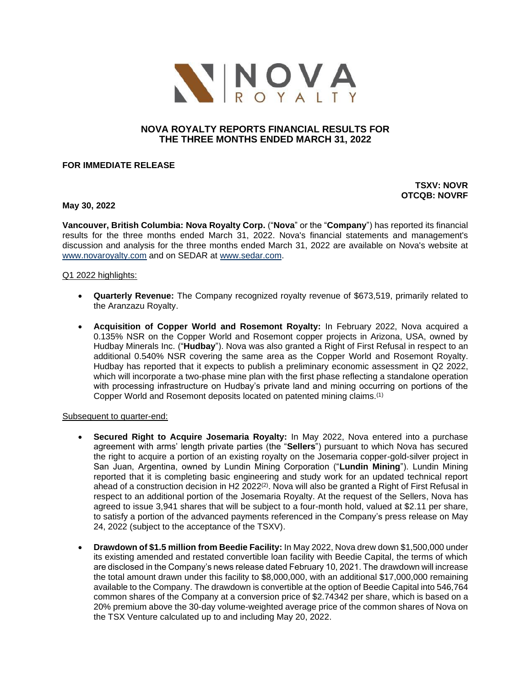

# **NOVA ROYALTY REPORTS FINANCIAL RESULTS FOR THE THREE MONTHS ENDED MARCH 31, 2022**

## **FOR IMMEDIATE RELEASE**

# **TSXV: NOVR OTCQB: NOVRF**

## **May 30, 2022**

**Vancouver, British Columbia: Nova Royalty Corp.** ("**Nova**" or the "**Company**") has reported its financial results for the three months ended March 31, 2022. Nova's financial statements and management's discussion and analysis for the three months ended March 31, 2022 are available on Nova's website at [www.novaroyalty.com](http://www.novaroyalty.com/) and on SEDAR at [www.sedar.com.](http://www.sedar.com/)

## Q1 2022 highlights:

- **Quarterly Revenue:** The Company recognized royalty revenue of \$673,519, primarily related to the Aranzazu Royalty.
- **Acquisition of Copper World and Rosemont Royalty:** In February 2022, Nova acquired a 0.135% NSR on the Copper World and Rosemont copper projects in Arizona, USA, owned by Hudbay Minerals Inc. ("**Hudbay**"). Nova was also granted a Right of First Refusal in respect to an additional 0.540% NSR covering the same area as the Copper World and Rosemont Royalty. Hudbay has reported that it expects to publish a preliminary economic assessment in Q2 2022, which will incorporate a two-phase mine plan with the first phase reflecting a standalone operation with processing infrastructure on Hudbay's private land and mining occurring on portions of the Copper World and Rosemont deposits located on patented mining claims.(1)

#### Subsequent to quarter-end:

- **Secured Right to Acquire Josemaria Royalty:** In May 2022, Nova entered into a purchase agreement with arms' length private parties (the "**Sellers**") pursuant to which Nova has secured the right to acquire a portion of an existing royalty on the Josemaria copper-gold-silver project in San Juan, Argentina, owned by Lundin Mining Corporation ("**Lundin Mining**"). Lundin Mining reported that it is completing basic engineering and study work for an updated technical report ahead of a construction decision in H2 2022 $^{(2)}$ . Nova will also be granted a Right of First Refusal in respect to an additional portion of the Josemaria Royalty. At the request of the Sellers, Nova has agreed to issue 3,941 shares that will be subject to a four-month hold, valued at \$2.11 per share, to satisfy a portion of the advanced payments referenced in the Company's press release on May 24, 2022 (subject to the acceptance of the TSXV).
- **Drawdown of \$1.5 million from Beedie Facility:** In May 2022, Nova drew down \$1,500,000 under its existing amended and restated convertible loan facility with Beedie Capital, the terms of which are disclosed in the Company's news release dated February 10, 2021. The drawdown will increase the total amount drawn under this facility to \$8,000,000, with an additional \$17,000,000 remaining available to the Company. The drawdown is convertible at the option of Beedie Capital into 546,764 common shares of the Company at a conversion price of \$2.74342 per share, which is based on a 20% premium above the 30-day volume-weighted average price of the common shares of Nova on the TSX Venture calculated up to and including May 20, 2022.